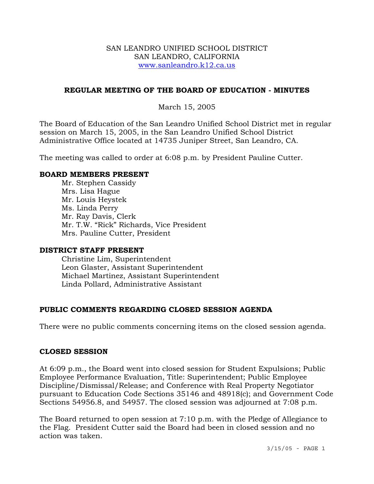### SAN LEANDRO UNIFIED SCHOOL DISTRICT SAN LEANDRO, CALIFORNIA www.sanleandro.k12.ca.us

## **REGULAR MEETING OF THE BOARD OF EDUCATION - MINUTES**

## March 15, 2005

The Board of Education of the San Leandro Unified School District met in regular session on March 15, 2005, in the San Leandro Unified School District Administrative Office located at 14735 Juniper Street, San Leandro, CA.

The meeting was called to order at 6:08 p.m. by President Pauline Cutter.

### **BOARD MEMBERS PRESENT**

Mr. Stephen Cassidy Mrs. Lisa Hague Mr. Louis Heystek Ms. Linda Perry Mr. Ray Davis, Clerk Mr. T.W. "Rick" Richards, Vice President Mrs. Pauline Cutter, President

#### **DISTRICT STAFF PRESENT**

Christine Lim, Superintendent Leon Glaster, Assistant Superintendent Michael Martinez, Assistant Superintendent Linda Pollard, Administrative Assistant

## **PUBLIC COMMENTS REGARDING CLOSED SESSION AGENDA**

There were no public comments concerning items on the closed session agenda.

#### **CLOSED SESSION**

At 6:09 p.m., the Board went into closed session for Student Expulsions; Public Employee Performance Evaluation, Title: Superintendent; Public Employee Discipline/Dismissal/Release; and Conference with Real Property Negotiator pursuant to Education Code Sections 35146 and 48918(c); and Government Code Sections 54956.8, and 54957. The closed session was adjourned at 7:08 p.m.

The Board returned to open session at 7:10 p.m. with the Pledge of Allegiance to the Flag. President Cutter said the Board had been in closed session and no action was taken.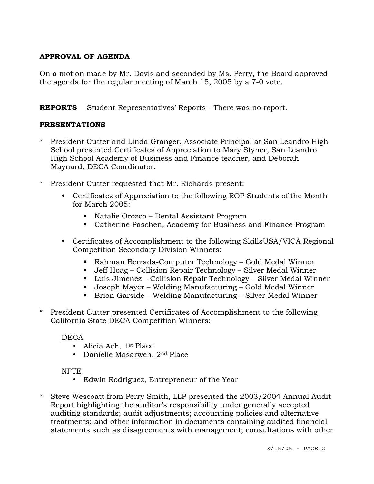# **APPROVAL OF AGENDA**

On a motion made by Mr. Davis and seconded by Ms. Perry, the Board approved the agenda for the regular meeting of March 15, 2005 by a 7-0 vote.

**REPORTS** Student Representatives' Reports - There was no report.

## **PRESENTATIONS**

- \* President Cutter and Linda Granger, Associate Principal at San Leandro High School presented Certificates of Appreciation to Mary Styner, San Leandro High School Academy of Business and Finance teacher, and Deborah Maynard, DECA Coordinator.
- President Cutter requested that Mr. Richards present:
	- Certificates of Appreciation to the following ROP Students of the Month for March 2005:
		- Natalie Orozco Dental Assistant Program
		- Catherine Paschen, Academy for Business and Finance Program
	- Certificates of Accomplishment to the following SkillsUSA/VICA Regional Competition Secondary Division Winners:
		- Rahman Berrada-Computer Technology Gold Medal Winner
		- Jeff Hoag Collision Repair Technology Silver Medal Winner
		- Luis Jimenez Collision Repair Technology Silver Medal Winner
		- Joseph Mayer Welding Manufacturing Gold Medal Winner
		- Brion Garside Welding Manufacturing Silver Medal Winner
- \* President Cutter presented Certificates of Accomplishment to the following California State DECA Competition Winners:

## DECA

- $\bullet$  Alicia Ach, 1<sup>st</sup> Place
- Danielle Masarweh, 2<sup>nd</sup> Place

## NFTE

- Edwin Rodriguez, Entrepreneur of the Year
- \* Steve Wescoatt from Perry Smith, LLP presented the 2003/2004 Annual Audit Report highlighting the auditor's responsibility under generally accepted auditing standards; audit adjustments; accounting policies and alternative treatments; and other information in documents containing audited financial statements such as disagreements with management; consultations with other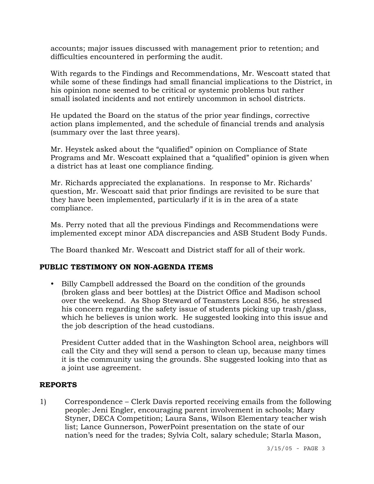accounts; major issues discussed with management prior to retention; and difficulties encountered in performing the audit.

With regards to the Findings and Recommendations, Mr. Wescoatt stated that while some of these findings had small financial implications to the District, in his opinion none seemed to be critical or systemic problems but rather small isolated incidents and not entirely uncommon in school districts.

 He updated the Board on the status of the prior year findings, corrective action plans implemented, and the schedule of financial trends and analysis (summary over the last three years).

Mr. Heystek asked about the "qualified" opinion on Compliance of State Programs and Mr. Wescoatt explained that a "qualified" opinion is given when a district has at least one compliance finding.

Mr. Richards appreciated the explanations. In response to Mr. Richards' question, Mr. Wescoatt said that prior findings are revisited to be sure that they have been implemented, particularly if it is in the area of a state compliance.

Ms. Perry noted that all the previous Findings and Recommendations were implemented except minor ADA discrepancies and ASB Student Body Funds.

The Board thanked Mr. Wescoatt and District staff for all of their work.

## **PUBLIC TESTIMONY ON NON-AGENDA ITEMS**

• Billy Campbell addressed the Board on the condition of the grounds (broken glass and beer bottles) at the District Office and Madison school over the weekend. As Shop Steward of Teamsters Local 856, he stressed his concern regarding the safety issue of students picking up trash/glass, which he believes is union work. He suggested looking into this issue and the job description of the head custodians.

 President Cutter added that in the Washington School area, neighbors will call the City and they will send a person to clean up, because many times it is the community using the grounds. She suggested looking into that as a joint use agreement.

## **REPORTS**

1) Correspondence – Clerk Davis reported receiving emails from the following people: Jeni Engler, encouraging parent involvement in schools; Mary Styner, DECA Competition; Laura Sans, Wilson Elementary teacher wish list; Lance Gunnerson, PowerPoint presentation on the state of our nation's need for the trades; Sylvia Colt, salary schedule; Starla Mason,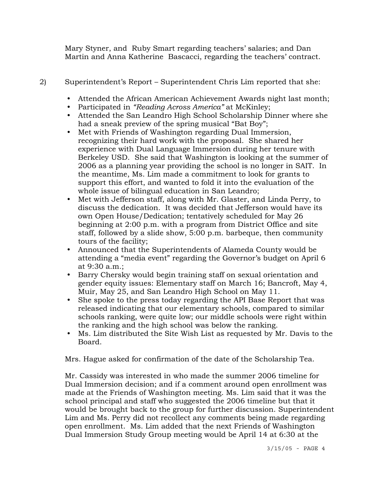Mary Styner, and Ruby Smart regarding teachers' salaries; and Dan Martin and Anna Katherine Bascacci, regarding the teachers' contract.

- 2) Superintendent's Report Superintendent Chris Lim reported that she:
	- Attended the African American Achievement Awards night last month;
	- y Participated in *"Reading Across America"* at McKinley;
	- Attended the San Leandro High School Scholarship Dinner where she had a sneak preview of the spring musical "Bat Boy";
	- Met with Friends of Washington regarding Dual Immersion, recognizing their hard work with the proposal. She shared her experience with Dual Language Immersion during her tenure with Berkeley USD. She said that Washington is looking at the summer of 2006 as a planning year providing the school is no longer in SAIT. In the meantime, Ms. Lim made a commitment to look for grants to support this effort, and wanted to fold it into the evaluation of the whole issue of bilingual education in San Leandro;
	- Met with Jefferson staff, along with Mr. Glaster, and Linda Perry, to discuss the dedication. It was decided that Jefferson would have its own Open House/Dedication; tentatively scheduled for May 26 beginning at 2:00 p.m. with a program from District Office and site staff, followed by a slide show, 5:00 p.m. barbeque, then community tours of the facility;
	- Announced that the Superintendents of Alameda County would be attending a "media event" regarding the Governor's budget on April 6 at 9:30 a.m.;
	- Barry Chersky would begin training staff on sexual orientation and gender equity issues: Elementary staff on March 16; Bancroft, May 4, Muir, May 25, and San Leandro High School on May 11.
	- She spoke to the press today regarding the API Base Report that was released indicating that our elementary schools, compared to similar schools ranking, were quite low; our middle schools were right within the ranking and the high school was below the ranking.
	- Ms. Lim distributed the Site Wish List as requested by Mr. Davis to the Board.

Mrs. Hague asked for confirmation of the date of the Scholarship Tea.

Mr. Cassidy was interested in who made the summer 2006 timeline for Dual Immersion decision; and if a comment around open enrollment was made at the Friends of Washington meeting. Ms. Lim said that it was the school principal and staff who suggested the 2006 timeline but that it would be brought back to the group for further discussion. Superintendent Lim and Ms. Perry did not recollect any comments being made regarding open enrollment. Ms. Lim added that the next Friends of Washington Dual Immersion Study Group meeting would be April 14 at 6:30 at the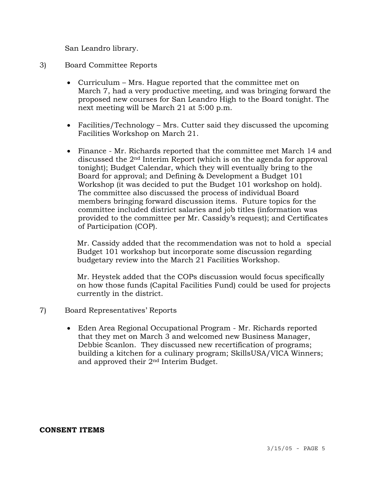San Leandro library.

## 3) Board Committee Reports

- Curriculum Mrs. Hague reported that the committee met on March 7, had a very productive meeting, and was bringing forward the proposed new courses for San Leandro High to the Board tonight. The next meeting will be March 21 at 5:00 p.m.
- Facilities/Technology Mrs. Cutter said they discussed the upcoming Facilities Workshop on March 21.
- Finance Mr. Richards reported that the committee met March 14 and discussed the 2nd Interim Report (which is on the agenda for approval tonight); Budget Calendar, which they will eventually bring to the Board for approval; and Defining & Development a Budget 101 Workshop (it was decided to put the Budget 101 workshop on hold). The committee also discussed the process of individual Board members bringing forward discussion items. Future topics for the committee included district salaries and job titles (information was provided to the committee per Mr. Cassidy's request); and Certificates of Participation (COP).

 Mr. Cassidy added that the recommendation was not to hold a special Budget 101 workshop but incorporate some discussion regarding budgetary review into the March 21 Facilities Workshop.

 Mr. Heystek added that the COPs discussion would focus specifically on how those funds (Capital Facilities Fund) could be used for projects currently in the district.

- 7) Board Representatives' Reports
	- Eden Area Regional Occupational Program Mr. Richards reported that they met on March 3 and welcomed new Business Manager, Debbie Scanlon. They discussed new recertification of programs; building a kitchen for a culinary program; SkillsUSA/VICA Winners; and approved their 2nd Interim Budget.

#### **CONSENT ITEMS**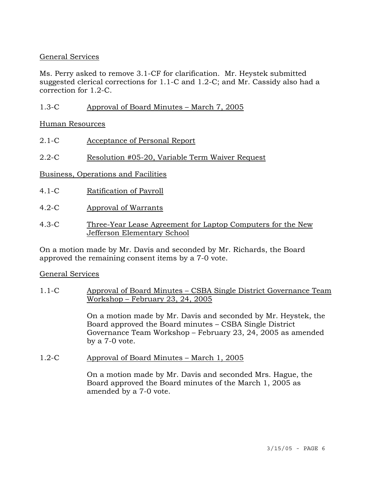## General Services

Ms. Perry asked to remove 3.1-CF for clarification. Mr. Heystek submitted suggested clerical corrections for 1.1-C and 1.2-C; and Mr. Cassidy also had a correction for 1.2-C.

1.3-C Approval of Board Minutes – March 7, 2005

Human Resources

- 2.1-C Acceptance of Personal Report
- 2.2-C Resolution #05-20, Variable Term Waiver Request

Business, Operations and Facilities

- 4.1-C Ratification of Payroll
- 4.2-C Approval of Warrants
- 4.3-C Three-Year Lease Agreement for Laptop Computers for the New Jefferson Elementary School

On a motion made by Mr. Davis and seconded by Mr. Richards, the Board approved the remaining consent items by a 7-0 vote.

## General Services

1.1-C Approval of Board Minutes – CSBA Single District Governance Team Workshop – February 23, 24, 2005

> On a motion made by Mr. Davis and seconded by Mr. Heystek, the Board approved the Board minutes – CSBA Single District Governance Team Workshop – February 23, 24, 2005 as amended by a 7-0 vote.

1.2-C Approval of Board Minutes – March 1, 2005

On a motion made by Mr. Davis and seconded Mrs. Hague, the Board approved the Board minutes of the March 1, 2005 as amended by a 7-0 vote.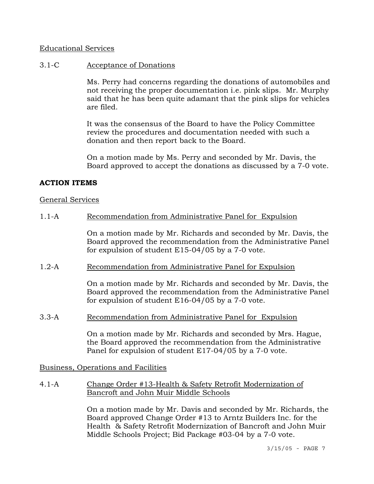### Educational Services

### 3.1-C Acceptance of Donations

Ms. Perry had concerns regarding the donations of automobiles and not receiving the proper documentation i.e. pink slips. Mr. Murphy said that he has been quite adamant that the pink slips for vehicles are filed.

It was the consensus of the Board to have the Policy Committee review the procedures and documentation needed with such a donation and then report back to the Board.

On a motion made by Ms. Perry and seconded by Mr. Davis, the Board approved to accept the donations as discussed by a 7-0 vote.

### **ACTION ITEMS**

#### General Services

#### 1.1-A Recommendation from Administrative Panel for Expulsion

On a motion made by Mr. Richards and seconded by Mr. Davis, the Board approved the recommendation from the Administrative Panel for expulsion of student E15-04/05 by a 7-0 vote.

#### 1.2-A Recommendation from Administrative Panel for Expulsion

On a motion made by Mr. Richards and seconded by Mr. Davis, the Board approved the recommendation from the Administrative Panel for expulsion of student E16-04/05 by a 7-0 vote.

### 3.3-A Recommendation from Administrative Panel for Expulsion

On a motion made by Mr. Richards and seconded by Mrs. Hague, the Board approved the recommendation from the Administrative Panel for expulsion of student E17-04/05 by a 7-0 vote.

Business, Operations and Facilities

### 4.1-A Change Order #13-Health & Safety Retrofit Modernization of Bancroft and John Muir Middle Schools

On a motion made by Mr. Davis and seconded by Mr. Richards, the Board approved Change Order #13 to Arntz Builders Inc. for the Health & Safety Retrofit Modernization of Bancroft and John Muir Middle Schools Project; Bid Package #03-04 by a 7-0 vote.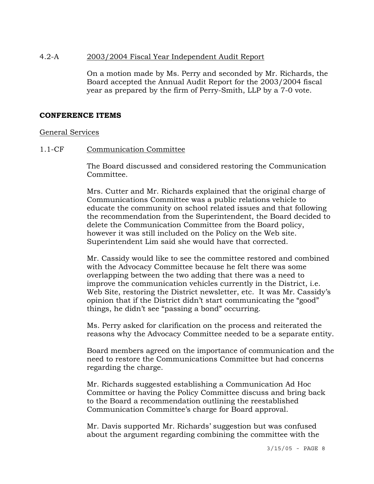### 4.2-A 2003/2004 Fiscal Year Independent Audit Report

On a motion made by Ms. Perry and seconded by Mr. Richards, the Board accepted the Annual Audit Report for the 2003/2004 fiscal year as prepared by the firm of Perry-Smith, LLP by a 7-0 vote.

### **CONFERENCE ITEMS**

#### General Services

### 1.1-CF Communication Committee

The Board discussed and considered restoring the Communication Committee.

Mrs. Cutter and Mr. Richards explained that the original charge of Communications Committee was a public relations vehicle to educate the community on school related issues and that following the recommendation from the Superintendent, the Board decided to delete the Communication Committee from the Board policy, however it was still included on the Policy on the Web site. Superintendent Lim said she would have that corrected.

Mr. Cassidy would like to see the committee restored and combined with the Advocacy Committee because he felt there was some overlapping between the two adding that there was a need to improve the communication vehicles currently in the District, i.e. Web Site, restoring the District newsletter, etc. It was Mr. Cassidy's opinion that if the District didn't start communicating the "good" things, he didn't see "passing a bond" occurring.

Ms. Perry asked for clarification on the process and reiterated the reasons why the Advocacy Committee needed to be a separate entity.

Board members agreed on the importance of communication and the need to restore the Communications Committee but had concerns regarding the charge.

Mr. Richards suggested establishing a Communication Ad Hoc Committee or having the Policy Committee discuss and bring back to the Board a recommendation outlining the reestablished Communication Committee's charge for Board approval.

Mr. Davis supported Mr. Richards' suggestion but was confused about the argument regarding combining the committee with the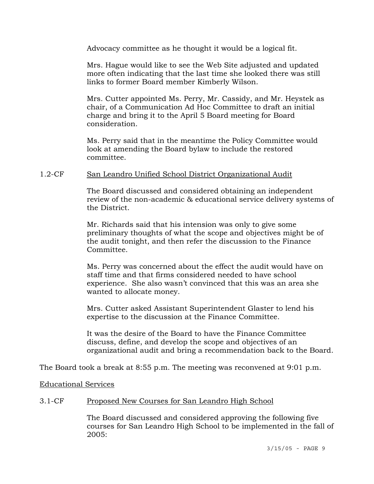Advocacy committee as he thought it would be a logical fit.

Mrs. Hague would like to see the Web Site adjusted and updated more often indicating that the last time she looked there was still links to former Board member Kimberly Wilson.

Mrs. Cutter appointed Ms. Perry, Mr. Cassidy, and Mr. Heystek as chair, of a Communication Ad Hoc Committee to draft an initial charge and bring it to the April 5 Board meeting for Board consideration.

Ms. Perry said that in the meantime the Policy Committee would look at amending the Board bylaw to include the restored committee.

### 1.2-CF San Leandro Unified School District Organizational Audit

The Board discussed and considered obtaining an independent review of the non-academic & educational service delivery systems of the District.

Mr. Richards said that his intension was only to give some preliminary thoughts of what the scope and objectives might be of the audit tonight, and then refer the discussion to the Finance Committee.

Ms. Perry was concerned about the effect the audit would have on staff time and that firms considered needed to have school experience. She also wasn't convinced that this was an area she wanted to allocate money.

Mrs. Cutter asked Assistant Superintendent Glaster to lend his expertise to the discussion at the Finance Committee.

It was the desire of the Board to have the Finance Committee discuss, define, and develop the scope and objectives of an organizational audit and bring a recommendation back to the Board.

The Board took a break at 8:55 p.m. The meeting was reconvened at 9:01 p.m.

Educational Services

### 3.1-CF Proposed New Courses for San Leandro High School

The Board discussed and considered approving the following five courses for San Leandro High School to be implemented in the fall of 2005: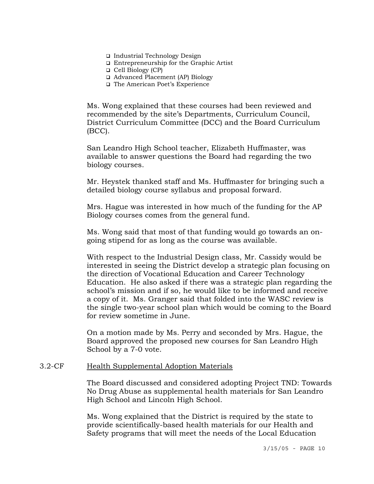- Industrial Technology Design
- Entrepreneurship for the Graphic Artist
- Cell Biology (CP)
- Advanced Placement (AP) Biology
- □ The American Poet's Experience

Ms. Wong explained that these courses had been reviewed and recommended by the site's Departments, Curriculum Council, District Curriculum Committee (DCC) and the Board Curriculum (BCC).

San Leandro High School teacher, Elizabeth Huffmaster, was available to answer questions the Board had regarding the two biology courses.

Mr. Heystek thanked staff and Ms. Huffmaster for bringing such a detailed biology course syllabus and proposal forward.

Mrs. Hague was interested in how much of the funding for the AP Biology courses comes from the general fund.

Ms. Wong said that most of that funding would go towards an ongoing stipend for as long as the course was available.

With respect to the Industrial Design class, Mr. Cassidy would be interested in seeing the District develop a strategic plan focusing on the direction of Vocational Education and Career Technology Education. He also asked if there was a strategic plan regarding the school's mission and if so, he would like to be informed and receive a copy of it. Ms. Granger said that folded into the WASC review is the single two-year school plan which would be coming to the Board for review sometime in June.

On a motion made by Ms. Perry and seconded by Mrs. Hague, the Board approved the proposed new courses for San Leandro High School by a 7-0 vote.

#### 3.2-CF Health Supplemental Adoption Materials

The Board discussed and considered adopting Project TND: Towards No Drug Abuse as supplemental health materials for San Leandro High School and Lincoln High School.

Ms. Wong explained that the District is required by the state to provide scientifically-based health materials for our Health and Safety programs that will meet the needs of the Local Education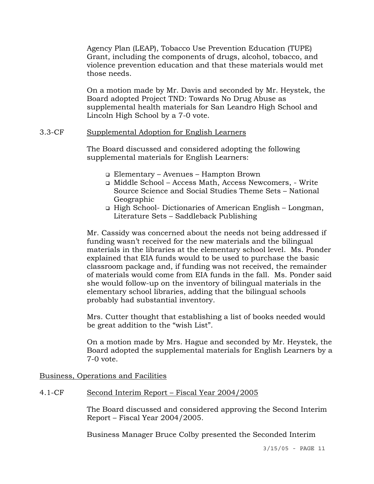Agency Plan (LEAP), Tobacco Use Prevention Education (TUPE) Grant, including the components of drugs, alcohol, tobacco, and violence prevention education and that these materials would met those needs.

On a motion made by Mr. Davis and seconded by Mr. Heystek, the Board adopted Project TND: Towards No Drug Abuse as supplemental health materials for San Leandro High School and Lincoln High School by a 7-0 vote.

### 3.3-CF Supplemental Adoption for English Learners

The Board discussed and considered adopting the following supplemental materials for English Learners:

- Elementary Avenues Hampton Brown
- Middle School Access Math, Access Newcomers, Write Source Science and Social Studies Theme Sets – National Geographic
- High School- Dictionaries of American English Longman, Literature Sets – Saddleback Publishing

Mr. Cassidy was concerned about the needs not being addressed if funding wasn't received for the new materials and the bilingual materials in the libraries at the elementary school level. Ms. Ponder explained that EIA funds would to be used to purchase the basic classroom package and, if funding was not received, the remainder of materials would come from EIA funds in the fall. Ms. Ponder said she would follow-up on the inventory of bilingual materials in the elementary school libraries, adding that the bilingual schools probably had substantial inventory.

Mrs. Cutter thought that establishing a list of books needed would be great addition to the "wish List".

On a motion made by Mrs. Hague and seconded by Mr. Heystek, the Board adopted the supplemental materials for English Learners by a 7-0 vote.

Business, Operations and Facilities

## 4.1-CF Second Interim Report – Fiscal Year 2004/2005

The Board discussed and considered approving the Second Interim Report – Fiscal Year 2004/2005.

Business Manager Bruce Colby presented the Seconded Interim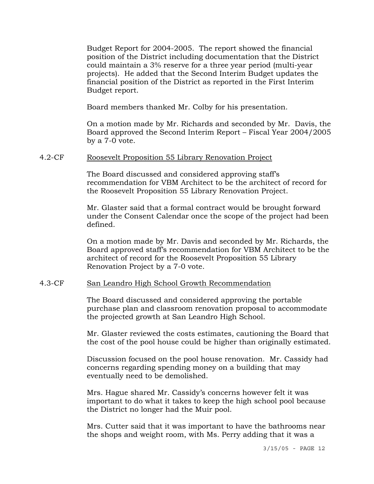Budget Report for 2004-2005. The report showed the financial position of the District including documentation that the District could maintain a 3% reserve for a three year period (multi-year projects). He added that the Second Interim Budget updates the financial position of the District as reported in the First Interim Budget report.

Board members thanked Mr. Colby for his presentation.

On a motion made by Mr. Richards and seconded by Mr. Davis, the Board approved the Second Interim Report – Fiscal Year 2004/2005 by a 7-0 vote.

### 4.2-CF Roosevelt Proposition 55 Library Renovation Project

The Board discussed and considered approving staff's recommendation for VBM Architect to be the architect of record for the Roosevelt Proposition 55 Library Renovation Project.

Mr. Glaster said that a formal contract would be brought forward under the Consent Calendar once the scope of the project had been defined.

On a motion made by Mr. Davis and seconded by Mr. Richards, the Board approved staff's recommendation for VBM Architect to be the architect of record for the Roosevelt Proposition 55 Library Renovation Project by a 7-0 vote.

#### 4.3-CF San Leandro High School Growth Recommendation

The Board discussed and considered approving the portable purchase plan and classroom renovation proposal to accommodate the projected growth at San Leandro High School.

Mr. Glaster reviewed the costs estimates, cautioning the Board that the cost of the pool house could be higher than originally estimated.

Discussion focused on the pool house renovation. Mr. Cassidy had concerns regarding spending money on a building that may eventually need to be demolished.

Mrs. Hague shared Mr. Cassidy's concerns however felt it was important to do what it takes to keep the high school pool because the District no longer had the Muir pool.

Mrs. Cutter said that it was important to have the bathrooms near the shops and weight room, with Ms. Perry adding that it was a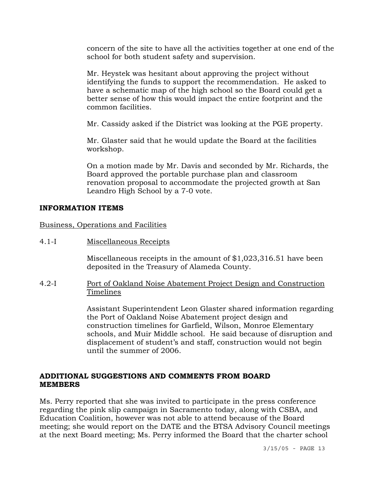concern of the site to have all the activities together at one end of the school for both student safety and supervision.

Mr. Heystek was hesitant about approving the project without identifying the funds to support the recommendation. He asked to have a schematic map of the high school so the Board could get a better sense of how this would impact the entire footprint and the common facilities.

Mr. Cassidy asked if the District was looking at the PGE property.

Mr. Glaster said that he would update the Board at the facilities workshop.

On a motion made by Mr. Davis and seconded by Mr. Richards, the Board approved the portable purchase plan and classroom renovation proposal to accommodate the projected growth at San Leandro High School by a 7-0 vote.

### **INFORMATION ITEMS**

Business, Operations and Facilities

4.1-I Miscellaneous Receipts

Miscellaneous receipts in the amount of \$1,023,316.51 have been deposited in the Treasury of Alameda County.

4.2-I Port of Oakland Noise Abatement Project Design and Construction Timelines

> Assistant Superintendent Leon Glaster shared information regarding the Port of Oakland Noise Abatement project design and construction timelines for Garfield, Wilson, Monroe Elementary schools, and Muir Middle school. He said because of disruption and displacement of student's and staff, construction would not begin until the summer of 2006.

## **ADDITIONAL SUGGESTIONS AND COMMENTS FROM BOARD MEMBERS**

Ms. Perry reported that she was invited to participate in the press conference regarding the pink slip campaign in Sacramento today, along with CSBA, and Education Coalition, however was not able to attend because of the Board meeting; she would report on the DATE and the BTSA Advisory Council meetings at the next Board meeting; Ms. Perry informed the Board that the charter school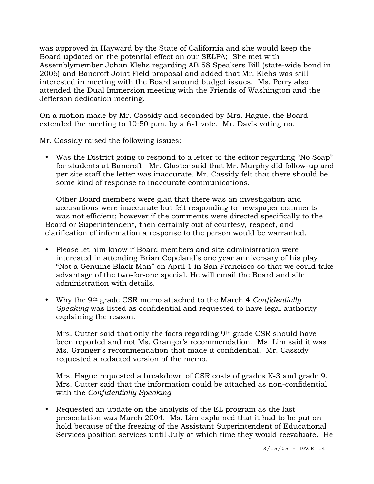was approved in Hayward by the State of California and she would keep the Board updated on the potential effect on our SELPA; She met with Assemblymember Johan Klehs regarding AB 58 Speakers Bill (state-wide bond in 2006) and Bancroft Joint Field proposal and added that Mr. Klehs was still interested in meeting with the Board around budget issues. Ms. Perry also attended the Dual Immersion meeting with the Friends of Washington and the Jefferson dedication meeting.

On a motion made by Mr. Cassidy and seconded by Mrs. Hague, the Board extended the meeting to 10:50 p.m. by a 6-1 vote. Mr. Davis voting no.

Mr. Cassidy raised the following issues:

• Was the District going to respond to a letter to the editor regarding "No Soap" for students at Bancroft. Mr. Glaster said that Mr. Murphy did follow-up and per site staff the letter was inaccurate. Mr. Cassidy felt that there should be some kind of response to inaccurate communications.

 Other Board members were glad that there was an investigation and accusations were inaccurate but felt responding to newspaper comments was not efficient; however if the comments were directed specifically to the Board or Superintendent, then certainly out of courtesy, respect, and clarification of information a response to the person would be warranted.

- Please let him know if Board members and site administration were interested in attending Brian Copeland's one year anniversary of his play "Not a Genuine Black Man" on April 1 in San Francisco so that we could take advantage of the two-for-one special. He will email the Board and site administration with details.
- y Why the 9th grade CSR memo attached to the March 4 *Confidentially Speaking* was listed as confidential and requested to have legal authority explaining the reason.

 Mrs. Cutter said that only the facts regarding 9th grade CSR should have been reported and not Ms. Granger's recommendation. Ms. Lim said it was Ms. Granger's recommendation that made it confidential. Mr. Cassidy requested a redacted version of the memo.

 Mrs. Hague requested a breakdown of CSR costs of grades K-3 and grade 9. Mrs. Cutter said that the information could be attached as non-confidential with the *Confidentially Speaking*.

• Requested an update on the analysis of the EL program as the last presentation was March 2004. Ms. Lim explained that it had to be put on hold because of the freezing of the Assistant Superintendent of Educational Services position services until July at which time they would reevaluate. He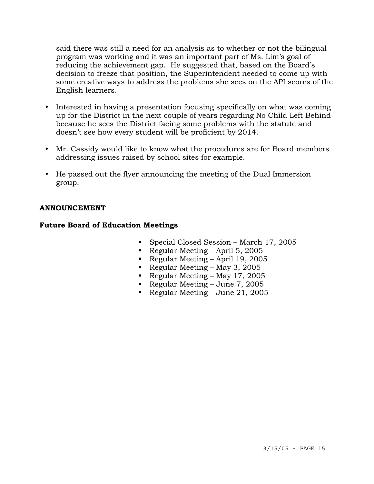said there was still a need for an analysis as to whether or not the bilingual program was working and it was an important part of Ms. Lim's goal of reducing the achievement gap. He suggested that, based on the Board's decision to freeze that position, the Superintendent needed to come up with some creative ways to address the problems she sees on the API scores of the English learners.

- Interested in having a presentation focusing specifically on what was coming up for the District in the next couple of years regarding No Child Left Behind because he sees the District facing some problems with the statute and doesn't see how every student will be proficient by 2014.
- Mr. Cassidy would like to know what the procedures are for Board members addressing issues raised by school sites for example.
- y He passed out the flyer announcing the meeting of the Dual Immersion group.

### **ANNOUNCEMENT**

## **Future Board of Education Meetings**

- Special Closed Session March 17, 2005
- Regular Meeting April 5, 2005
- Regular Meeting April 19, 2005
- Regular Meeting May 3, 2005
- Regular Meeting May 17, 2005
- Regular Meeting June 7, 2005
- Regular Meeting June 21, 2005